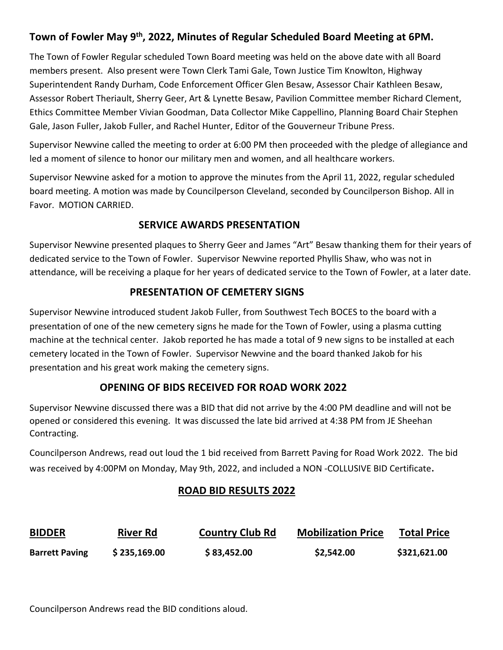# **Town of Fowler May 9th, 2022, Minutes of Regular Scheduled Board Meeting at 6PM.**

The Town of Fowler Regular scheduled Town Board meeting was held on the above date with all Board members present. Also present were Town Clerk Tami Gale, Town Justice Tim Knowlton, Highway Superintendent Randy Durham, Code Enforcement Officer Glen Besaw, Assessor Chair Kathleen Besaw, Assessor Robert Theriault, Sherry Geer, Art & Lynette Besaw, Pavilion Committee member Richard Clement, Ethics Committee Member Vivian Goodman, Data Collector Mike Cappellino, Planning Board Chair Stephen Gale, Jason Fuller, Jakob Fuller, and Rachel Hunter, Editor of the Gouverneur Tribune Press.

Supervisor Newvine called the meeting to order at 6:00 PM then proceeded with the pledge of allegiance and led a moment of silence to honor our military men and women, and all healthcare workers.

Supervisor Newvine asked for a motion to approve the minutes from the April 11, 2022, regular scheduled board meeting. A motion was made by Councilperson Cleveland, seconded by Councilperson Bishop. All in Favor. MOTION CARRIED.

### **SERVICE AWARDS PRESENTATION**

Supervisor Newvine presented plaques to Sherry Geer and James "Art" Besaw thanking them for their years of dedicated service to the Town of Fowler. Supervisor Newvine reported Phyllis Shaw, who was not in attendance, will be receiving a plaque for her years of dedicated service to the Town of Fowler, at a later date.

## **PRESENTATION OF CEMETERY SIGNS**

Supervisor Newvine introduced student Jakob Fuller, from Southwest Tech BOCES to the board with a presentation of one of the new cemetery signs he made for the Town of Fowler, using a plasma cutting machine at the technical center. Jakob reported he has made a total of 9 new signs to be installed at each cemetery located in the Town of Fowler. Supervisor Newvine and the board thanked Jakob for his presentation and his great work making the cemetery signs.

## **OPENING OF BIDS RECEIVED FOR ROAD WORK 2022**

Supervisor Newvine discussed there was a BID that did not arrive by the 4:00 PM deadline and will not be opened or considered this evening. It was discussed the late bid arrived at 4:38 PM from JE Sheehan Contracting.

Councilperson Andrews, read out loud the 1 bid received from Barrett Paving for Road Work 2022. The bid was received by 4:00PM on Monday, May 9th, 2022, and included a NON -COLLUSIVE BID Certificate.

# **ROAD BID RESULTS 2022**

| <b>BIDDER</b>         | <b>River Rd</b> | <b>Country Club Rd</b> | <b>Mobilization Price</b> | <b>Total Price</b> |
|-----------------------|-----------------|------------------------|---------------------------|--------------------|
| <b>Barrett Paving</b> | \$235,169.00    | \$83,452.00            | \$2,542.00                | \$321,621.00       |

Councilperson Andrews read the BID conditions aloud.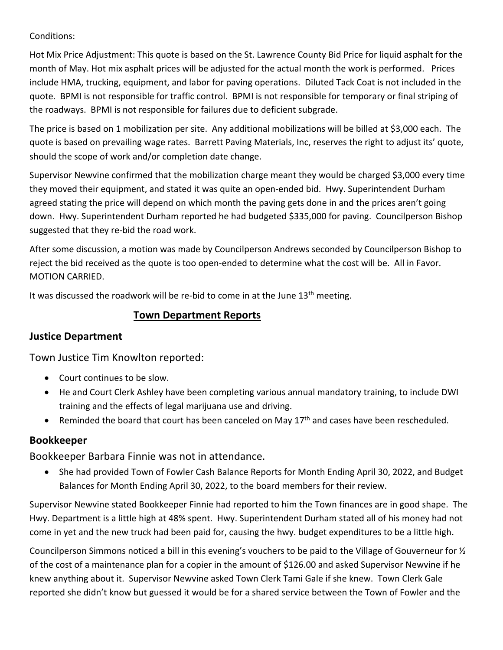#### Conditions:

Hot Mix Price Adjustment: This quote is based on the St. Lawrence County Bid Price for liquid asphalt for the month of May. Hot mix asphalt prices will be adjusted for the actual month the work is performed. Prices include HMA, trucking, equipment, and labor for paving operations. Diluted Tack Coat is not included in the quote. BPMI is not responsible for traffic control. BPMI is not responsible for temporary or final striping of the roadways. BPMI is not responsible for failures due to deficient subgrade.

The price is based on 1 mobilization per site. Any additional mobilizations will be billed at \$3,000 each. The quote is based on prevailing wage rates. Barrett Paving Materials, Inc, reserves the right to adjust its' quote, should the scope of work and/or completion date change.

Supervisor Newvine confirmed that the mobilization charge meant they would be charged \$3,000 every time they moved their equipment, and stated it was quite an open-ended bid. Hwy. Superintendent Durham agreed stating the price will depend on which month the paving gets done in and the prices aren't going down. Hwy. Superintendent Durham reported he had budgeted \$335,000 for paving. Councilperson Bishop suggested that they re-bid the road work.

After some discussion, a motion was made by Councilperson Andrews seconded by Councilperson Bishop to reject the bid received as the quote is too open-ended to determine what the cost will be. All in Favor. MOTION CARRIED.

It was discussed the roadwork will be re-bid to come in at the June 13<sup>th</sup> meeting.

### **Town Department Reports**

## **Justice Department**

Town Justice Tim Knowlton reported:

- Court continues to be slow.
- He and Court Clerk Ashley have been completing various annual mandatory training, to include DWI training and the effects of legal marijuana use and driving.
- Reminded the board that court has been canceled on May  $17<sup>th</sup>$  and cases have been rescheduled.

## **Bookkeeper**

#### Bookkeeper Barbara Finnie was not in attendance.

• She had provided Town of Fowler Cash Balance Reports for Month Ending April 30, 2022, and Budget Balances for Month Ending April 30, 2022, to the board members for their review.

Supervisor Newvine stated Bookkeeper Finnie had reported to him the Town finances are in good shape. The Hwy. Department is a little high at 48% spent. Hwy. Superintendent Durham stated all of his money had not come in yet and the new truck had been paid for, causing the hwy. budget expenditures to be a little high.

Councilperson Simmons noticed a bill in this evening's vouchers to be paid to the Village of Gouverneur for ½ of the cost of a maintenance plan for a copier in the amount of \$126.00 and asked Supervisor Newvine if he knew anything about it. Supervisor Newvine asked Town Clerk Tami Gale if she knew. Town Clerk Gale reported she didn't know but guessed it would be for a shared service between the Town of Fowler and the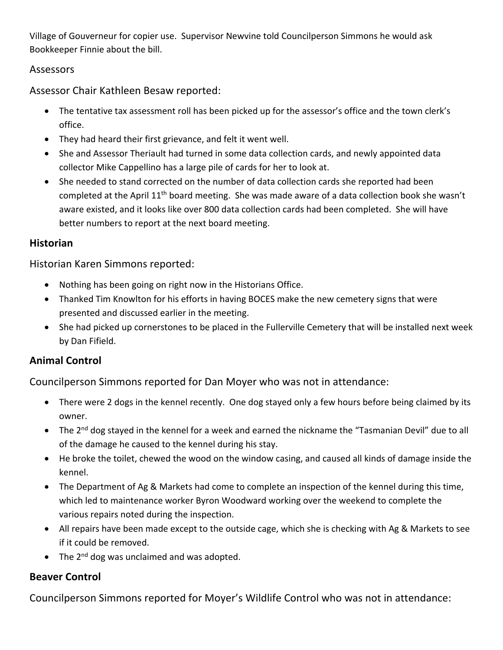Village of Gouverneur for copier use. Supervisor Newvine told Councilperson Simmons he would ask Bookkeeper Finnie about the bill.

### Assessors

Assessor Chair Kathleen Besaw reported:

- The tentative tax assessment roll has been picked up for the assessor's office and the town clerk's office.
- They had heard their first grievance, and felt it went well.
- She and Assessor Theriault had turned in some data collection cards, and newly appointed data collector Mike Cappellino has a large pile of cards for her to look at.
- She needed to stand corrected on the number of data collection cards she reported had been completed at the April 11th board meeting. She was made aware of a data collection book she wasn't aware existed, and it looks like over 800 data collection cards had been completed. She will have better numbers to report at the next board meeting.

## **Historian**

Historian Karen Simmons reported:

- Nothing has been going on right now in the Historians Office.
- Thanked Tim Knowlton for his efforts in having BOCES make the new cemetery signs that were presented and discussed earlier in the meeting.
- She had picked up cornerstones to be placed in the Fullerville Cemetery that will be installed next week by Dan Fifield.

## **Animal Control**

Councilperson Simmons reported for Dan Moyer who was not in attendance:

- There were 2 dogs in the kennel recently. One dog stayed only a few hours before being claimed by its owner.
- The 2<sup>nd</sup> dog stayed in the kennel for a week and earned the nickname the "Tasmanian Devil" due to all of the damage he caused to the kennel during his stay.
- He broke the toilet, chewed the wood on the window casing, and caused all kinds of damage inside the kennel.
- The Department of Ag & Markets had come to complete an inspection of the kennel during this time, which led to maintenance worker Byron Woodward working over the weekend to complete the various repairs noted during the inspection.
- All repairs have been made except to the outside cage, which she is checking with Ag & Markets to see if it could be removed.
- The  $2^{nd}$  dog was unclaimed and was adopted.

## **Beaver Control**

Councilperson Simmons reported for Moyer's Wildlife Control who was not in attendance: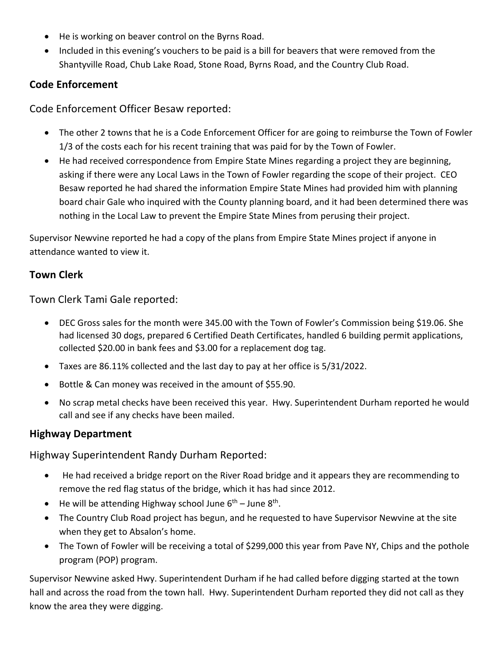- He is working on beaver control on the Byrns Road.
- Included in this evening's vouchers to be paid is a bill for beavers that were removed from the Shantyville Road, Chub Lake Road, Stone Road, Byrns Road, and the Country Club Road.

# **Code Enforcement**

Code Enforcement Officer Besaw reported:

- The other 2 towns that he is a Code Enforcement Officer for are going to reimburse the Town of Fowler 1/3 of the costs each for his recent training that was paid for by the Town of Fowler.
- He had received correspondence from Empire State Mines regarding a project they are beginning, asking if there were any Local Laws in the Town of Fowler regarding the scope of their project. CEO Besaw reported he had shared the information Empire State Mines had provided him with planning board chair Gale who inquired with the County planning board, and it had been determined there was nothing in the Local Law to prevent the Empire State Mines from perusing their project.

Supervisor Newvine reported he had a copy of the plans from Empire State Mines project if anyone in attendance wanted to view it.

# **Town Clerk**

Town Clerk Tami Gale reported:

- DEC Gross sales for the month were 345.00 with the Town of Fowler's Commission being \$19.06. She had licensed 30 dogs, prepared 6 Certified Death Certificates, handled 6 building permit applications, collected \$20.00 in bank fees and \$3.00 for a replacement dog tag.
- Taxes are 86.11% collected and the last day to pay at her office is 5/31/2022.
- Bottle & Can money was received in the amount of \$55.90.
- No scrap metal checks have been received this year. Hwy. Superintendent Durham reported he would call and see if any checks have been mailed.

## **Highway Department**

Highway Superintendent Randy Durham Reported:

- He had received a bridge report on the River Road bridge and it appears they are recommending to remove the red flag status of the bridge, which it has had since 2012.
- He will be attending Highway school June  $6<sup>th</sup>$  June  $8<sup>th</sup>$ .
- The Country Club Road project has begun, and he requested to have Supervisor Newvine at the site when they get to Absalon's home.
- The Town of Fowler will be receiving a total of \$299,000 this year from Pave NY, Chips and the pothole program (POP) program.

Supervisor Newvine asked Hwy. Superintendent Durham if he had called before digging started at the town hall and across the road from the town hall. Hwy. Superintendent Durham reported they did not call as they know the area they were digging.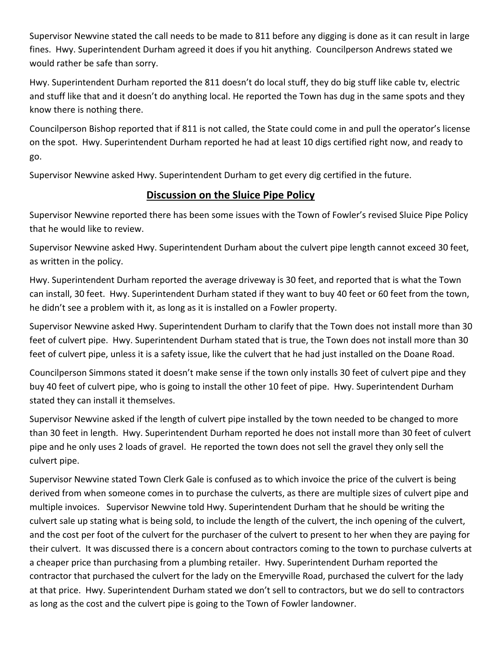Supervisor Newvine stated the call needs to be made to 811 before any digging is done as it can result in large fines. Hwy. Superintendent Durham agreed it does if you hit anything. Councilperson Andrews stated we would rather be safe than sorry.

Hwy. Superintendent Durham reported the 811 doesn't do local stuff, they do big stuff like cable tv, electric and stuff like that and it doesn't do anything local. He reported the Town has dug in the same spots and they know there is nothing there.

Councilperson Bishop reported that if 811 is not called, the State could come in and pull the operator's license on the spot. Hwy. Superintendent Durham reported he had at least 10 digs certified right now, and ready to go.

Supervisor Newvine asked Hwy. Superintendent Durham to get every dig certified in the future.

# **Discussion on the Sluice Pipe Policy**

Supervisor Newvine reported there has been some issues with the Town of Fowler's revised Sluice Pipe Policy that he would like to review.

Supervisor Newvine asked Hwy. Superintendent Durham about the culvert pipe length cannot exceed 30 feet, as written in the policy.

Hwy. Superintendent Durham reported the average driveway is 30 feet, and reported that is what the Town can install, 30 feet. Hwy. Superintendent Durham stated if they want to buy 40 feet or 60 feet from the town, he didn't see a problem with it, as long as it is installed on a Fowler property.

Supervisor Newvine asked Hwy. Superintendent Durham to clarify that the Town does not install more than 30 feet of culvert pipe. Hwy. Superintendent Durham stated that is true, the Town does not install more than 30 feet of culvert pipe, unless it is a safety issue, like the culvert that he had just installed on the Doane Road.

Councilperson Simmons stated it doesn't make sense if the town only installs 30 feet of culvert pipe and they buy 40 feet of culvert pipe, who is going to install the other 10 feet of pipe. Hwy. Superintendent Durham stated they can install it themselves.

Supervisor Newvine asked if the length of culvert pipe installed by the town needed to be changed to more than 30 feet in length. Hwy. Superintendent Durham reported he does not install more than 30 feet of culvert pipe and he only uses 2 loads of gravel. He reported the town does not sell the gravel they only sell the culvert pipe.

Supervisor Newvine stated Town Clerk Gale is confused as to which invoice the price of the culvert is being derived from when someone comes in to purchase the culverts, as there are multiple sizes of culvert pipe and multiple invoices. Supervisor Newvine told Hwy. Superintendent Durham that he should be writing the culvert sale up stating what is being sold, to include the length of the culvert, the inch opening of the culvert, and the cost per foot of the culvert for the purchaser of the culvert to present to her when they are paying for their culvert. It was discussed there is a concern about contractors coming to the town to purchase culverts at a cheaper price than purchasing from a plumbing retailer. Hwy. Superintendent Durham reported the contractor that purchased the culvert for the lady on the Emeryville Road, purchased the culvert for the lady at that price. Hwy. Superintendent Durham stated we don't sell to contractors, but we do sell to contractors as long as the cost and the culvert pipe is going to the Town of Fowler landowner.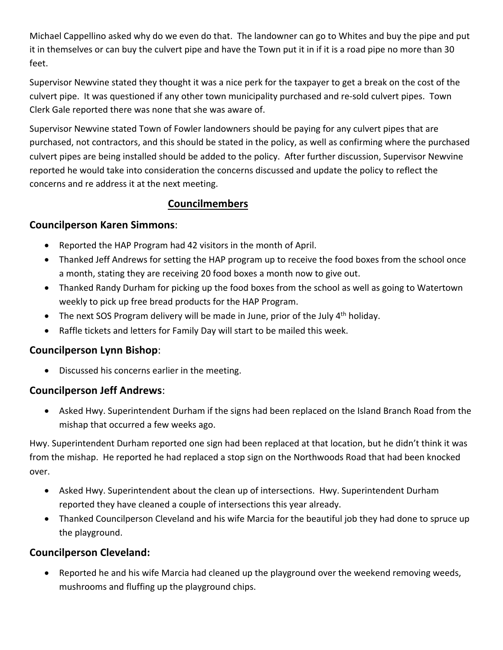Michael Cappellino asked why do we even do that. The landowner can go to Whites and buy the pipe and put it in themselves or can buy the culvert pipe and have the Town put it in if it is a road pipe no more than 30 feet.

Supervisor Newvine stated they thought it was a nice perk for the taxpayer to get a break on the cost of the culvert pipe. It was questioned if any other town municipality purchased and re-sold culvert pipes. Town Clerk Gale reported there was none that she was aware of.

Supervisor Newvine stated Town of Fowler landowners should be paying for any culvert pipes that are purchased, not contractors, and this should be stated in the policy, as well as confirming where the purchased culvert pipes are being installed should be added to the policy. After further discussion, Supervisor Newvine reported he would take into consideration the concerns discussed and update the policy to reflect the concerns and re address it at the next meeting.

## **Councilmembers**

### **Councilperson Karen Simmons**:

- Reported the HAP Program had 42 visitors in the month of April.
- Thanked Jeff Andrews for setting the HAP program up to receive the food boxes from the school once a month, stating they are receiving 20 food boxes a month now to give out.
- Thanked Randy Durham for picking up the food boxes from the school as well as going to Watertown weekly to pick up free bread products for the HAP Program.
- The next SOS Program delivery will be made in June, prior of the July 4<sup>th</sup> holiday.
- Raffle tickets and letters for Family Day will start to be mailed this week.

#### **Councilperson Lynn Bishop**:

• Discussed his concerns earlier in the meeting.

## **Councilperson Jeff Andrews**:

• Asked Hwy. Superintendent Durham if the signs had been replaced on the Island Branch Road from the mishap that occurred a few weeks ago.

Hwy. Superintendent Durham reported one sign had been replaced at that location, but he didn't think it was from the mishap. He reported he had replaced a stop sign on the Northwoods Road that had been knocked over.

- Asked Hwy. Superintendent about the clean up of intersections. Hwy. Superintendent Durham reported they have cleaned a couple of intersections this year already.
- Thanked Councilperson Cleveland and his wife Marcia for the beautiful job they had done to spruce up the playground.

## **Councilperson Cleveland:**

• Reported he and his wife Marcia had cleaned up the playground over the weekend removing weeds, mushrooms and fluffing up the playground chips.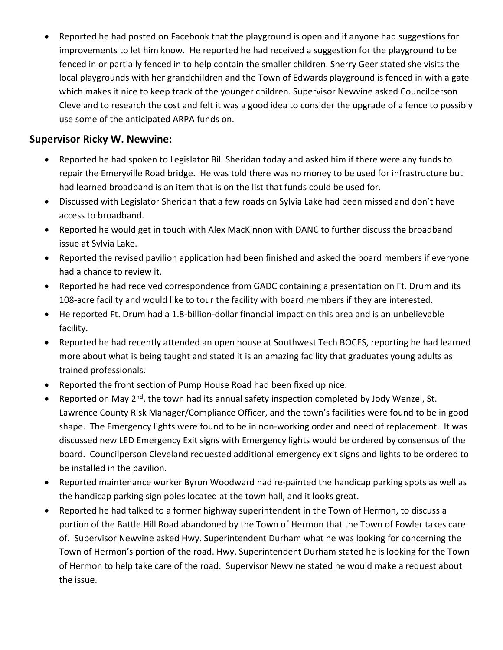• Reported he had posted on Facebook that the playground is open and if anyone had suggestions for improvements to let him know. He reported he had received a suggestion for the playground to be fenced in or partially fenced in to help contain the smaller children. Sherry Geer stated she visits the local playgrounds with her grandchildren and the Town of Edwards playground is fenced in with a gate which makes it nice to keep track of the younger children. Supervisor Newvine asked Councilperson Cleveland to research the cost and felt it was a good idea to consider the upgrade of a fence to possibly use some of the anticipated ARPA funds on.

## **Supervisor Ricky W. Newvine:**

- Reported he had spoken to Legislator Bill Sheridan today and asked him if there were any funds to repair the Emeryville Road bridge. He was told there was no money to be used for infrastructure but had learned broadband is an item that is on the list that funds could be used for.
- Discussed with Legislator Sheridan that a few roads on Sylvia Lake had been missed and don't have access to broadband.
- Reported he would get in touch with Alex MacKinnon with DANC to further discuss the broadband issue at Sylvia Lake.
- Reported the revised pavilion application had been finished and asked the board members if everyone had a chance to review it.
- Reported he had received correspondence from GADC containing a presentation on Ft. Drum and its 108-acre facility and would like to tour the facility with board members if they are interested.
- He reported Ft. Drum had a 1.8-billion-dollar financial impact on this area and is an unbelievable facility.
- Reported he had recently attended an open house at Southwest Tech BOCES, reporting he had learned more about what is being taught and stated it is an amazing facility that graduates young adults as trained professionals.
- Reported the front section of Pump House Road had been fixed up nice.
- Reported on May 2<sup>nd</sup>, the town had its annual safety inspection completed by Jody Wenzel, St. Lawrence County Risk Manager/Compliance Officer, and the town's facilities were found to be in good shape. The Emergency lights were found to be in non-working order and need of replacement. It was discussed new LED Emergency Exit signs with Emergency lights would be ordered by consensus of the board. Councilperson Cleveland requested additional emergency exit signs and lights to be ordered to be installed in the pavilion.
- Reported maintenance worker Byron Woodward had re-painted the handicap parking spots as well as the handicap parking sign poles located at the town hall, and it looks great.
- Reported he had talked to a former highway superintendent in the Town of Hermon, to discuss a portion of the Battle Hill Road abandoned by the Town of Hermon that the Town of Fowler takes care of. Supervisor Newvine asked Hwy. Superintendent Durham what he was looking for concerning the Town of Hermon's portion of the road. Hwy. Superintendent Durham stated he is looking for the Town of Hermon to help take care of the road. Supervisor Newvine stated he would make a request about the issue.